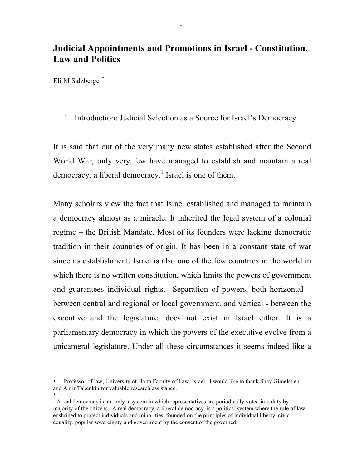# **Judicial Appointments and Promotions in Israel - Constitution, Law and Politics**

Eli M Salzberger<sup>\*</sup>

## 1. Introduction: Judicial Selection as a Source for Israel's Democracy

It is said that out of the very many new states established after the Second World War, only very few have managed to establish and maintain a real democracy, a liberal democracy.<sup>1</sup> Israel is one of them.

Many scholars view the fact that Israel established and managed to maintain a democracy almost as a miracle. It inherited the legal system of a colonial regime – the British Mandate. Most of its founders were lacking democratic tradition in their countries of origin. It has been in a constant state of war since its establishment. Israel is also one of the few countries in the world in which there is no written constitution, which limits the powers of government and guarantees individual rights. Separation of powers, both horizontal – between central and regional or local government, and vertical - between the executive and the legislature, does not exist in Israel either. It is a parliamentary democracy in which the powers of the executive evolve from a unicameral legislature. Under all these circumstances it seems indeed like a

 $\overline{a}$ • Professor of law, University of Haifa Faculty of Law, Israel. I would like to thank Shay Gimelstien and Amir Tabenkin for valuable research assistance.

<sup>•</sup>  $<sup>1</sup>$  A real democracy is not only a system in which representatives are periodically voted into duty by</sup> majority of the citizens. A real democracy, a liberal democracy, is a political system where the rule of law enshrined to protect individuals and minorities, founded on the principles of individual liberty, civic equality, popular sovereignty and government by the consent of the governed.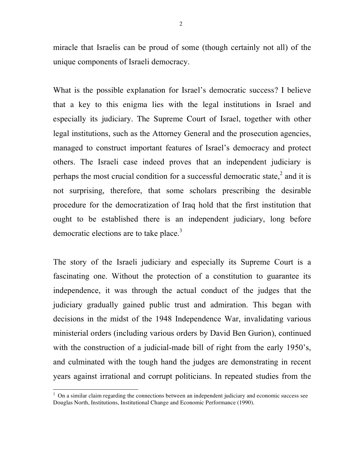miracle that Israelis can be proud of some (though certainly not all) of the unique components of Israeli democracy.

What is the possible explanation for Israel's democratic success? I believe that a key to this enigma lies with the legal institutions in Israel and especially its judiciary. The Supreme Court of Israel, together with other legal institutions, such as the Attorney General and the prosecution agencies, managed to construct important features of Israel's democracy and protect others. The Israeli case indeed proves that an independent judiciary is perhaps the most crucial condition for a successful democratic state, $\frac{2}{3}$  and it is not surprising, therefore, that some scholars prescribing the desirable procedure for the democratization of Iraq hold that the first institution that ought to be established there is an independent judiciary, long before democratic elections are to take place.<sup>3</sup>

The story of the Israeli judiciary and especially its Supreme Court is a fascinating one. Without the protection of a constitution to guarantee its independence, it was through the actual conduct of the judges that the judiciary gradually gained public trust and admiration. This began with decisions in the midst of the 1948 Independence War, invalidating various ministerial orders (including various orders by David Ben Gurion), continued with the construction of a judicial-made bill of right from the early 1950's, and culminated with the tough hand the judges are demonstrating in recent years against irrational and corrupt politicians. In repeated studies from the

 $<sup>2</sup>$  On a similar claim regarding the connections between an independent judiciary and economic success see</sup> Douglas North, Institutions, Institutional Change and Economic Performance (1990).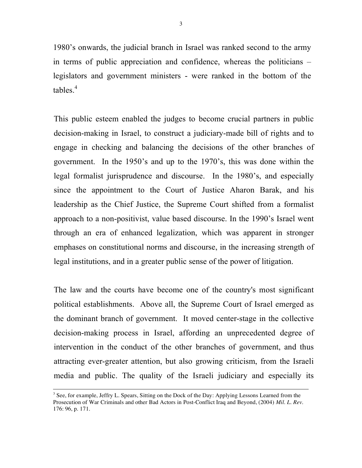1980's onwards, the judicial branch in Israel was ranked second to the army in terms of public appreciation and confidence, whereas the politicians – legislators and government ministers - were ranked in the bottom of the tables. 4

This public esteem enabled the judges to become crucial partners in public decision-making in Israel, to construct a judiciary-made bill of rights and to engage in checking and balancing the decisions of the other branches of government. In the 1950's and up to the 1970's, this was done within the legal formalist jurisprudence and discourse. In the 1980's, and especially since the appointment to the Court of Justice Aharon Barak, and his leadership as the Chief Justice, the Supreme Court shifted from a formalist approach to a non-positivist, value based discourse. In the 1990's Israel went through an era of enhanced legalization, which was apparent in stronger emphases on constitutional norms and discourse, in the increasing strength of legal institutions, and in a greater public sense of the power of litigation.

The law and the courts have become one of the country's most significant political establishments. Above all, the Supreme Court of Israel emerged as the dominant branch of government. It moved center-stage in the collective decision-making process in Israel, affording an unprecedented degree of intervention in the conduct of the other branches of government, and thus attracting ever-greater attention, but also growing criticism, from the Israeli media and public. The quality of the Israeli judiciary and especially its

<sup>&</sup>lt;sup>3</sup> See, for example, Jeffry L. Spears, Sitting on the Dock of the Day: Applying Lessons Learned from the Prosecution of War Criminals and other Bad Actors in Post-Conflict Iraq and Beyond, (2004) *Mil. L. Rev*. 176: 96, p. 171.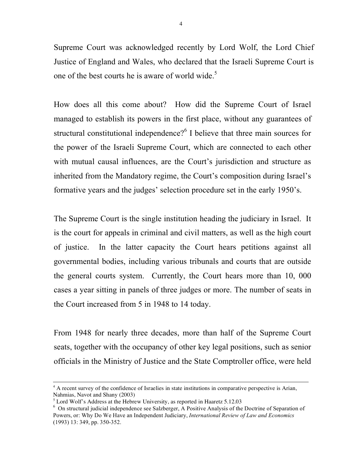Supreme Court was acknowledged recently by Lord Wolf, the Lord Chief Justice of England and Wales, who declared that the Israeli Supreme Court is one of the best courts he is aware of world wide.<sup>5</sup>

How does all this come about? How did the Supreme Court of Israel managed to establish its powers in the first place, without any guarantees of structural constitutional independence?<sup>6</sup> I believe that three main sources for the power of the Israeli Supreme Court, which are connected to each other with mutual causal influences, are the Court's jurisdiction and structure as inherited from the Mandatory regime, the Court's composition during Israel's formative years and the judges' selection procedure set in the early 1950's.

The Supreme Court is the single institution heading the judiciary in Israel. It is the court for appeals in criminal and civil matters, as well as the high court of justice. In the latter capacity the Court hears petitions against all governmental bodies, including various tribunals and courts that are outside the general courts system. Currently, the Court hears more than 10, 000 cases a year sitting in panels of three judges or more. The number of seats in the Court increased from 5 in 1948 to 14 today.

From 1948 for nearly three decades, more than half of the Supreme Court seats, together with the occupancy of other key legal positions, such as senior officials in the Ministry of Justice and the State Comptroller office, were held

<sup>&</sup>lt;sup>4</sup> A recent survey of the confidence of Israelies in state institutions in comparative perspective is Arian, Nahmias, Navot and Shany (2003)<br>
<sup>5</sup> Lord Wolf's Address at the Hebrew University, as reported in Haaretz 5.12.03

 $6$  On structural judicial independence see Salzberger, A Positive Analysis of the Doctrine of Separation of Powers, or: Why Do We Have an Independent Judiciary, *International Review of Law and Economics* (1993) 13: 349, pp. 350-352.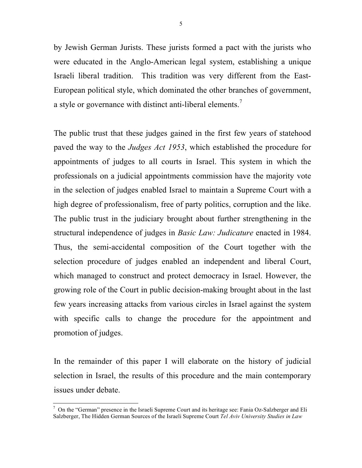by Jewish German Jurists. These jurists formed a pact with the jurists who were educated in the Anglo-American legal system, establishing a unique Israeli liberal tradition. This tradition was very different from the East-European political style, which dominated the other branches of government, a style or governance with distinct anti-liberal elements.<sup>7</sup>

The public trust that these judges gained in the first few years of statehood paved the way to the *Judges Act 1953*, which established the procedure for appointments of judges to all courts in Israel. This system in which the professionals on a judicial appointments commission have the majority vote in the selection of judges enabled Israel to maintain a Supreme Court with a high degree of professionalism, free of party politics, corruption and the like. The public trust in the judiciary brought about further strengthening in the structural independence of judges in *Basic Law: Judicature* enacted in 1984. Thus, the semi-accidental composition of the Court together with the selection procedure of judges enabled an independent and liberal Court, which managed to construct and protect democracy in Israel. However, the growing role of the Court in public decision-making brought about in the last few years increasing attacks from various circles in Israel against the system with specific calls to change the procedure for the appointment and promotion of judges.

In the remainder of this paper I will elaborate on the history of judicial selection in Israel, the results of this procedure and the main contemporary issues under debate.

 $7$  On the "German" presence in the Israeli Supreme Court and its heritage see: Fania Oz-Salzberger and Eli Salzberger, The Hidden German Sources of the Israeli Supreme Court *Tel Aviv University Studies in Law*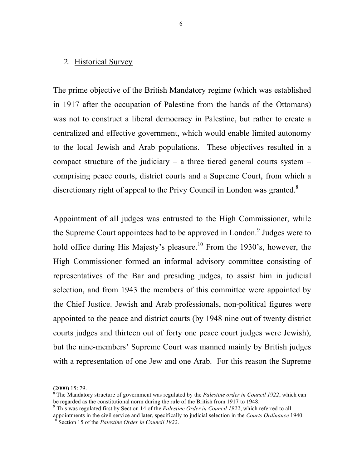#### 2. Historical Survey

The prime objective of the British Mandatory regime (which was established in 1917 after the occupation of Palestine from the hands of the Ottomans) was not to construct a liberal democracy in Palestine, but rather to create a centralized and effective government, which would enable limited autonomy to the local Jewish and Arab populations. These objectives resulted in a compact structure of the judiciary – a three tiered general courts system – comprising peace courts, district courts and a Supreme Court, from which a discretionary right of appeal to the Privy Council in London was granted.<sup>8</sup>

Appointment of all judges was entrusted to the High Commissioner, while the Supreme Court appointees had to be approved in London.<sup>9</sup> Judges were to hold office during His Majesty's pleasure.<sup>10</sup> From the 1930's, however, the High Commissioner formed an informal advisory committee consisting of representatives of the Bar and presiding judges, to assist him in judicial selection, and from 1943 the members of this committee were appointed by the Chief Justice. Jewish and Arab professionals, non-political figures were appointed to the peace and district courts (by 1948 nine out of twenty district courts judges and thirteen out of forty one peace court judges were Jewish), but the nine-members' Supreme Court was manned mainly by British judges with a representation of one Jew and one Arab. For this reason the Supreme

 $\overline{a}$ 

<sup>(2000)</sup> 15: 79.

<sup>8</sup> The Mandatory structure of government was regulated by the *Palestine order in Council 1922*, which can be regarded as the constitutional norm during the rule of the British from 1917 to 1948.<br><sup>9</sup> This was regulated first by Section 14 of the *Palestine Order in Council 1922*, which referred to all

appointments in the civil service and later, specifically to judicial selection in the *Courts Ordinance* 1940.<br><sup>10</sup> Section 15 of the *Palestine Order in Council 1922*.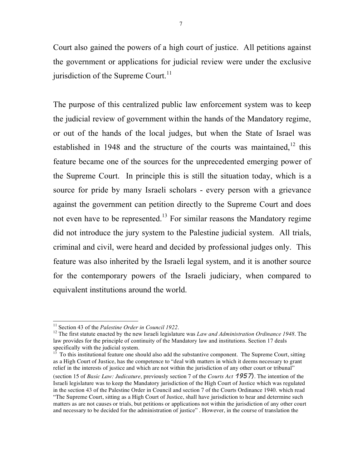Court also gained the powers of a high court of justice. All petitions against the government or applications for judicial review were under the exclusive jurisdiction of the Supreme Court.<sup>11</sup>

The purpose of this centralized public law enforcement system was to keep the judicial review of government within the hands of the Mandatory regime, or out of the hands of the local judges, but when the State of Israel was established in 1948 and the structure of the courts was maintained, $12$  this feature became one of the sources for the unprecedented emerging power of the Supreme Court. In principle this is still the situation today, which is a source for pride by many Israeli scholars - every person with a grievance against the government can petition directly to the Supreme Court and does not even have to be represented.<sup>13</sup> For similar reasons the Mandatory regime did not introduce the jury system to the Palestine judicial system. All trials, criminal and civil, were heard and decided by professional judges only. This feature was also inherited by the Israeli legal system, and it is another source for the contemporary powers of the Israeli judiciary, when compared to equivalent institutions around the world.

<sup>13</sup> To this institutional feature one should also add the substantive component. The Supreme Court, sitting as a High Court of Justice, has the competence to "deal with matters in which it deems necessary to grant relief in the interests of justice and which are not within the jurisdiction of any other court or tribunal" (section 15 of *Basic Law: Judicature*, previously section 7 of the *Courts Act* 1957). The intention of the Israeli legislature was to keep the Mandatory jurisdiction of the High Court of Justice which was regulated in the section 43 of the Palestine Order in Council and section 7 of the Courts Ordinance 1940. which read "The Supreme Court, sitting as a High Court of Justice, shall have jurisdiction to hear and determine such matters as are not causes or trials, but petitions or applications not within the jurisdiction of any other court and necessary to be decided for the administration of justice" . However, in the course of translation the

<sup>&</sup>lt;sup>11</sup> Section 43 of the *Palestine Order in Council 1922*.<br><sup>12</sup> The first statute enacted by the new Israeli legislature was *Law and Administration Ordinance 1948*. The law provides for the principle of continuity of the Mandatory law and institutions. Section 17 deals specifically with the judicial system.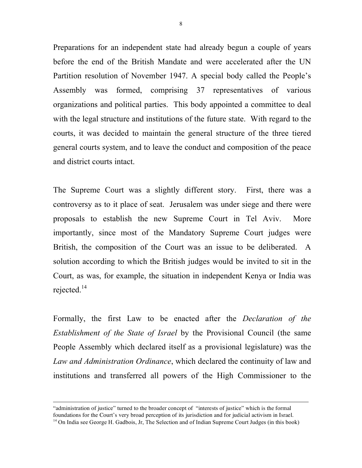Preparations for an independent state had already begun a couple of years before the end of the British Mandate and were accelerated after the UN Partition resolution of November 1947. A special body called the People's Assembly was formed, comprising 37 representatives of various organizations and political parties. This body appointed a committee to deal with the legal structure and institutions of the future state. With regard to the courts, it was decided to maintain the general structure of the three tiered general courts system, and to leave the conduct and composition of the peace and district courts intact.

8

The Supreme Court was a slightly different story. First, there was a controversy as to it place of seat. Jerusalem was under siege and there were proposals to establish the new Supreme Court in Tel Aviv. More importantly, since most of the Mandatory Supreme Court judges were British, the composition of the Court was an issue to be deliberated. A solution according to which the British judges would be invited to sit in the Court, as was, for example, the situation in independent Kenya or India was rejected. $14$ 

Formally, the first Law to be enacted after the *Declaration of the Establishment of the State of Israel* by the Provisional Council (the same People Assembly which declared itself as a provisional legislature) was the *Law and Administration Ordinance*, which declared the continuity of law and institutions and transferred all powers of the High Commissioner to the

 $\overline{a}$ 

<sup>&</sup>quot;administration of justice" turned to the broader concept of "interests of justice" which is the formal foundations for the Court's very broad perception of its jurisdiction and for judicial activism in Israel.  $14$  On India see George H. Gadbois, Jr, The Selection and of Indian Supreme Court Judges (in this book)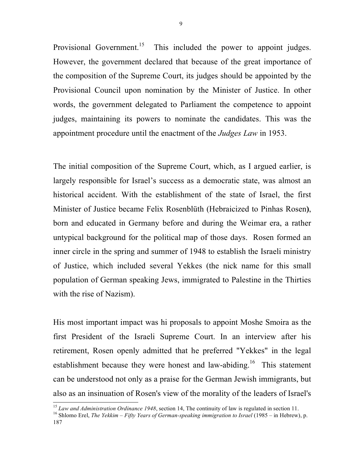Provisional Government.<sup>15</sup> This included the power to appoint judges. However, the government declared that because of the great importance of the composition of the Supreme Court, its judges should be appointed by the Provisional Council upon nomination by the Minister of Justice. In other words, the government delegated to Parliament the competence to appoint judges, maintaining its powers to nominate the candidates. This was the appointment procedure until the enactment of the *Judges Law* in 1953.

The initial composition of the Supreme Court, which, as I argued earlier, is largely responsible for Israel's success as a democratic state, was almost an historical accident. With the establishment of the state of Israel, the first Minister of Justice became Felix Rosenblüth (Hebraicized to Pinhas Rosen**)**, born and educated in Germany before and during the Weimar era, a rather untypical background for the political map of those days. Rosen formed an inner circle in the spring and summer of 1948 to establish the Israeli ministry of Justice, which included several Yekkes (the nick name for this small population of German speaking Jews, immigrated to Palestine in the Thirties with the rise of Nazism).

His most important impact was hi proposals to appoint Moshe Smoira as the first President of the Israeli Supreme Court. In an interview after his retirement, Rosen openly admitted that he preferred "Yekkes" in the legal establishment because they were honest and law-abiding.<sup>16</sup> This statement can be understood not only as a praise for the German Jewish immigrants, but also as an insinuation of Rosen's view of the morality of the leaders of Israel's

<sup>&</sup>lt;sup>15</sup> Law and Administration Ordinance 1948, section 14, The continuity of law is regulated in section 11.<br><sup>16</sup> Shlomo Erel, *The Yekkim – Fifty Years of German-speaking immigration to Israel* (1985 – in Hebrew), p.

<sup>187</sup>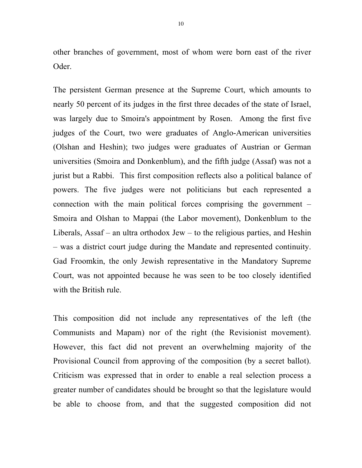other branches of government, most of whom were born east of the river Oder.

The persistent German presence at the Supreme Court, which amounts to nearly 50 percent of its judges in the first three decades of the state of Israel, was largely due to Smoira's appointment by Rosen. Among the first five judges of the Court, two were graduates of Anglo-American universities (Olshan and Heshin); two judges were graduates of Austrian or German universities (Smoira and Donkenblum), and the fifth judge (Assaf) was not a jurist but a Rabbi. This first composition reflects also a political balance of powers. The five judges were not politicians but each represented a connection with the main political forces comprising the government – Smoira and Olshan to Mappai (the Labor movement), Donkenblum to the Liberals, Assaf – an ultra orthodox Jew – to the religious parties, and Heshin – was a district court judge during the Mandate and represented continuity. Gad Froomkin, the only Jewish representative in the Mandatory Supreme Court, was not appointed because he was seen to be too closely identified with the British rule.

This composition did not include any representatives of the left (the Communists and Mapam) nor of the right (the Revisionist movement). However, this fact did not prevent an overwhelming majority of the Provisional Council from approving of the composition (by a secret ballot). Criticism was expressed that in order to enable a real selection process a greater number of candidates should be brought so that the legislature would be able to choose from, and that the suggested composition did not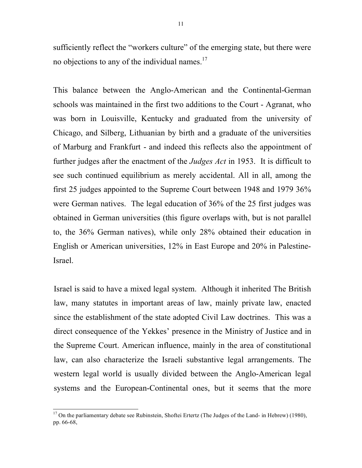sufficiently reflect the "workers culture" of the emerging state, but there were no objections to any of the individual names.<sup>17</sup>

This balance between the Anglo-American and the Continental-German schools was maintained in the first two additions to the Court - Agranat, who was born in Louisville, Kentucky and graduated from the university of Chicago, and Silberg, Lithuanian by birth and a graduate of the universities of Marburg and Frankfurt - and indeed this reflects also the appointment of further judges after the enactment of the *Judges Act* in 1953. It is difficult to see such continued equilibrium as merely accidental. All in all, among the first 25 judges appointed to the Supreme Court between 1948 and 1979 36% were German natives. The legal education of 36% of the 25 first judges was obtained in German universities (this figure overlaps with, but is not parallel to, the 36% German natives), while only 28% obtained their education in English or American universities, 12% in East Europe and 20% in Palestine-Israel.

Israel is said to have a mixed legal system. Although it inherited The British law, many statutes in important areas of law, mainly private law, enacted since the establishment of the state adopted Civil Law doctrines. This was a direct consequence of the Yekkes' presence in the Ministry of Justice and in the Supreme Court. American influence, mainly in the area of constitutional law, can also characterize the Israeli substantive legal arrangements. The western legal world is usually divided between the Anglo-American legal systems and the European-Continental ones, but it seems that the more

<sup>&</sup>lt;sup>17</sup> On the parliamentary debate see Rubinstein, Shoftei Ertertz (The Judges of the Land- in Hebrew) (1980), pp. 66-68,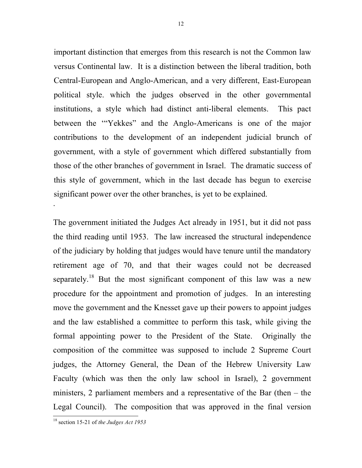important distinction that emerges from this research is not the Common law versus Continental law. It is a distinction between the liberal tradition, both Central-European and Anglo-American, and a very different, East-European political style. which the judges observed in the other governmental institutions, a style which had distinct anti-liberal elements. This pact between the '"Yekkes" and the Anglo-Americans is one of the major contributions to the development of an independent judicial brunch of government, with a style of government which differed substantially from those of the other branches of government in Israel. The dramatic success of this style of government, which in the last decade has begun to exercise significant power over the other branches, is yet to be explained. .

The government initiated the Judges Act already in 1951, but it did not pass the third reading until 1953. The law increased the structural independence of the judiciary by holding that judges would have tenure until the mandatory retirement age of 70, and that their wages could not be decreased separately.<sup>18</sup> But the most significant component of this law was a new procedure for the appointment and promotion of judges. In an interesting move the government and the Knesset gave up their powers to appoint judges and the law established a committee to perform this task, while giving the formal appointing power to the President of the State. Originally the composition of the committee was supposed to include 2 Supreme Court judges, the Attorney General, the Dean of the Hebrew University Law Faculty (which was then the only law school in Israel), 2 government ministers, 2 parliament members and a representative of the Bar (then – the Legal Council). The composition that was approved in the final version

<sup>18</sup> section 15-21 of *the Judges Act <sup>1953</sup>*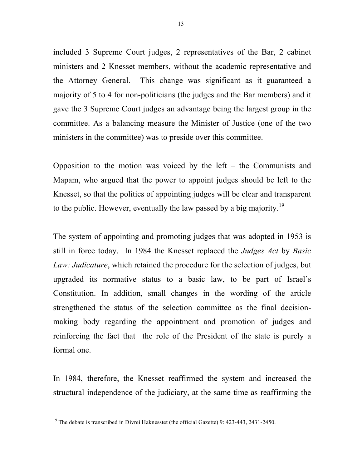included 3 Supreme Court judges, 2 representatives of the Bar, 2 cabinet ministers and 2 Knesset members, without the academic representative and the Attorney General. This change was significant as it guaranteed a majority of 5 to 4 for non-politicians (the judges and the Bar members) and it gave the 3 Supreme Court judges an advantage being the largest group in the committee. As a balancing measure the Minister of Justice (one of the two ministers in the committee) was to preside over this committee.

Opposition to the motion was voiced by the left – the Communists and Mapam, who argued that the power to appoint judges should be left to the Knesset, so that the politics of appointing judges will be clear and transparent to the public. However, eventually the law passed by a big majority.<sup>19</sup>

The system of appointing and promoting judges that was adopted in 1953 is still in force today. In 1984 the Knesset replaced the *Judges Act* by *Basic Law: Judicature*, which retained the procedure for the selection of judges, but upgraded its normative status to a basic law, to be part of Israel's Constitution. In addition, small changes in the wording of the article strengthened the status of the selection committee as the final decisionmaking body regarding the appointment and promotion of judges and reinforcing the fact that the role of the President of the state is purely a formal one.

In 1984, therefore, the Knesset reaffirmed the system and increased the structural independence of the judiciary, at the same time as reaffirming the

<sup>&</sup>lt;sup>19</sup> The debate is transcribed in Divrei Haknesstet (the official Gazette) 9: 423-443, 2431-2450.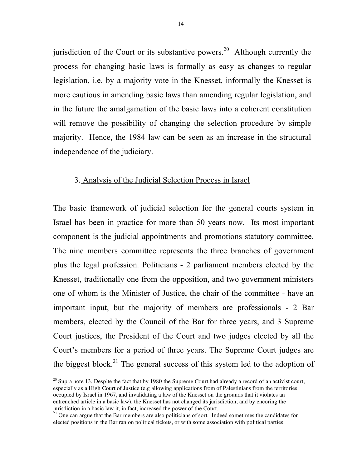jurisdiction of the Court or its substantive powers.<sup>20</sup> Although currently the process for changing basic laws is formally as easy as changes to regular legislation, i.e. by a majority vote in the Knesset, informally the Knesset is more cautious in amending basic laws than amending regular legislation, and in the future the amalgamation of the basic laws into a coherent constitution will remove the possibility of changing the selection procedure by simple majority. Hence, the 1984 law can be seen as an increase in the structural independence of the judiciary.

### 3. Analysis of the Judicial Selection Process in Israel

The basic framework of judicial selection for the general courts system in Israel has been in practice for more than 50 years now. Its most important component is the judicial appointments and promotions statutory committee. The nine members committee represents the three branches of government plus the legal profession. Politicians - 2 parliament members elected by the Knesset, traditionally one from the opposition, and two government ministers one of whom is the Minister of Justice, the chair of the committee - have an important input, but the majority of members are professionals - 2 Bar members, elected by the Council of the Bar for three years, and 3 Supreme Court justices, the President of the Court and two judges elected by all the Court's members for a period of three years. The Supreme Court judges are the biggest block.<sup>21</sup> The general success of this system led to the adoption of

 $20$  Supra note 13. Despite the fact that by 1980 the Supreme Court had already a record of an activist court, especially as a High Court of Justice (e.g allowing applications from of Palestinians from the territories occupied by Israel in 1967, and invalidating a law of the Knesset on the grounds that it violates an entrenched article in a basic law), the Knesset has not changed its jurisdiction, and by encoring the jurisdiction in a basic law it, in fact, increased the power of the Court.<br><sup>21</sup> One can argue that the Bar members are also politicians of sort. Indeed sometimes the candidates for

elected positions in the Bar ran on political tickets, or with some association with political parties.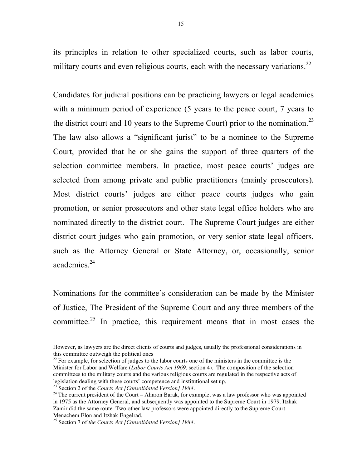its principles in relation to other specialized courts, such as labor courts, military courts and even religious courts, each with the necessary variations.<sup>22</sup>

Candidates for judicial positions can be practicing lawyers or legal academics with a minimum period of experience (5 years to the peace court, 7 years to the district court and 10 years to the Supreme Court) prior to the nomination.<sup>23</sup> The law also allows a "significant jurist" to be a nominee to the Supreme Court, provided that he or she gains the support of three quarters of the selection committee members. In practice, most peace courts' judges are selected from among private and public practitioners (mainly prosecutors). Most district courts' judges are either peace courts judges who gain promotion, or senior prosecutors and other state legal office holders who are nominated directly to the district court. The Supreme Court judges are either district court judges who gain promotion, or very senior state legal officers, such as the Attorney General or State Attorney, or, occasionally, senior academics. 24

Nominations for the committee's consideration can be made by the Minister of Justice, The President of the Supreme Court and any three members of the committee.<sup>25</sup> In practice, this requirement means that in most cases the

 $\overline{a}$ 

However, as lawyers are the direct clients of courts and judges, usually the professional considerations in this committee outweigh the political ones

 $22$  For example, for selection of judges to the labor courts one of the ministers in the committee is the Minister for Labor and Welfare (*Labor Courts Act 1969*, section 4). The composition of the selection committees to the military courts and the various religious courts are regulated in the respective acts of legislation dealing with these courts' competence and institutional set up. <sup>23</sup> Section <sup>2</sup> of the *Courts Act [Consolidated Version] <sup>1984</sup>*.

 $24$  The current president of the Court – Aharon Barak, for example, was a law professor who was appointed in 1975 as the Attorney General, and subsequently was appointed to the Supreme Court in 1979. Itzhak Zamir did the same route. Two other law professors were appointed directly to the Supreme Court – Menachem Elon and Itzhak Engelrad.

<sup>&</sup>lt;sup>25</sup> Section 7 of *the Courts Act [Consolidated Version]* 1984.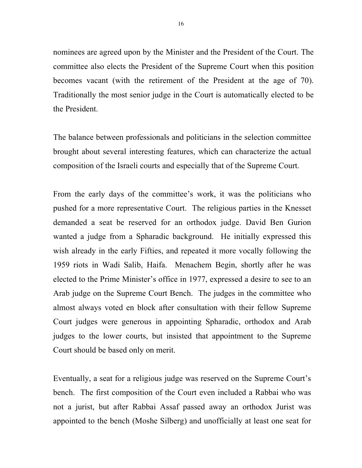nominees are agreed upon by the Minister and the President of the Court. The committee also elects the President of the Supreme Court when this position becomes vacant (with the retirement of the President at the age of 70). Traditionally the most senior judge in the Court is automatically elected to be the President.

The balance between professionals and politicians in the selection committee brought about several interesting features, which can characterize the actual composition of the Israeli courts and especially that of the Supreme Court.

From the early days of the committee's work, it was the politicians who pushed for a more representative Court. The religious parties in the Knesset demanded a seat be reserved for an orthodox judge. David Ben Gurion wanted a judge from a Spharadic background. He initially expressed this wish already in the early Fifties, and repeated it more vocally following the 1959 riots in Wadi Salib, Haifa. Menachem Begin, shortly after he was elected to the Prime Minister's office in 1977, expressed a desire to see to an Arab judge on the Supreme Court Bench. The judges in the committee who almost always voted en block after consultation with their fellow Supreme Court judges were generous in appointing Spharadic, orthodox and Arab judges to the lower courts, but insisted that appointment to the Supreme Court should be based only on merit.

Eventually, a seat for a religious judge was reserved on the Supreme Court's bench. The first composition of the Court even included a Rabbai who was not a jurist, but after Rabbai Assaf passed away an orthodox Jurist was appointed to the bench (Moshe Silberg) and unofficially at least one seat for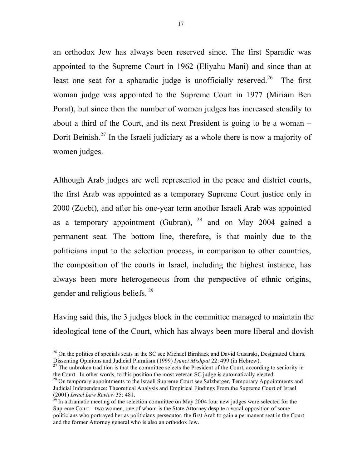an orthodox Jew has always been reserved since. The first Sparadic was appointed to the Supreme Court in 1962 (Eliyahu Mani) and since than at least one seat for a spharadic judge is unofficially reserved.<sup>26</sup> The first woman judge was appointed to the Supreme Court in 1977 (Miriam Ben Porat), but since then the number of women judges has increased steadily to about a third of the Court, and its next President is going to be a woman – Dorit Beinish.<sup>27</sup> In the Israeli judiciary as a whole there is now a majority of women judges.

Although Arab judges are well represented in the peace and district courts, the first Arab was appointed as a temporary Supreme Court justice only in 2000 (Zuebi), and after his one-year term another Israeli Arab was appointed as a temporary appointment (Gubran),  $^{28}$  and on May 2004 gained a permanent seat. The bottom line, therefore, is that mainly due to the politicians input to the selection process, in comparison to other countries, the composition of the courts in Israel, including the highest instance, has always been more heterogeneous from the perspective of ethnic origins, gender and religious beliefs.<sup>29</sup>

Having said this, the 3 judges block in the committee managed to maintain the ideological tone of the Court, which has always been more liberal and dovish

<sup>&</sup>lt;sup>26</sup> On the politics of specials seats in the SC see Michael Birnhack and David Gusarski, Designated Chairs, Dissenting Opinions and Judicial Pluralism (1999) *Iyunei Mishpat* 22: 499 (in Hebrew).<br><sup>27</sup> The unbroken tradition is that the committee selects the President of the Court, according to seniority in

the Court. In other words, to this position the most veteran SC judge is automatically elected.<br><sup>28</sup> On temporary appointments to the Israeli Supreme Court see Salzberger, Temporary Appointments and

Judicial Independence: Theoretical Analysis and Empirical Findings From the Supreme Court of Israel (2001) *Israel Law Review* 35: 481.

 $29$  In a dramatic meeting of the selection committee on May 2004 four new judges were selected for the Supreme Court – two women, one of whom is the State Attorney despite a vocal opposition of some politicians who portrayed her as politicians persecutor, the first Arab to gain a permanent seat in the Court and the former Attorney general who is also an orthodox Jew.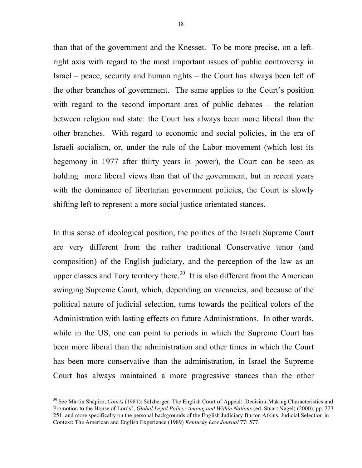than that of the government and the Knesset. To be more precise, on a leftright axis with regard to the most important issues of public controversy in Israel – peace, security and human rights – the Court has always been left of the other branches of government. The same applies to the Court's position with regard to the second important area of public debates – the relation between religion and state: the Court has always been more liberal than the other branches. With regard to economic and social policies, in the era of Israeli socialism, or, under the rule of the Labor movement (which lost its hegemony in 1977 after thirty years in power), the Court can be seen as holding more liberal views than that of the government, but in recent years with the dominance of libertarian government policies, the Court is slowly shifting left to represent a more social justice orientated stances.

In this sense of ideological position, the politics of the Israeli Supreme Court are very different from the rather traditional Conservative tenor (and composition) of the English judiciary, and the perception of the law as an upper classes and Tory territory there.<sup>30</sup> It is also different from the American swinging Supreme Court, which, depending on vacancies, and because of the political nature of judicial selection, turns towards the political colors of the Administration with lasting effects on future Administrations. In other words, while in the US, one can point to periods in which the Supreme Court has been more liberal than the administration and other times in which the Court has been more conservative than the administration, in Israel the Supreme Court has always maintained a more progressive stances than the other

<sup>&</sup>lt;sup>30</sup> See Martin Shapiro, *Courts* (1981); Salzberger, The English Court of Appeal: Decision-Making Characteristics and Promotion to the House of Lords", *Global Legal Policy: Among and Within Nations* (ed. Stuart Nagel) (2000), pp. 223- 251; and more specifically on the personal backgrounds of the English Judiciary Burton Atkins, Judicial Selection in Context: The American and English Experience (1989) *Kentucky Law Journal* 77: 577.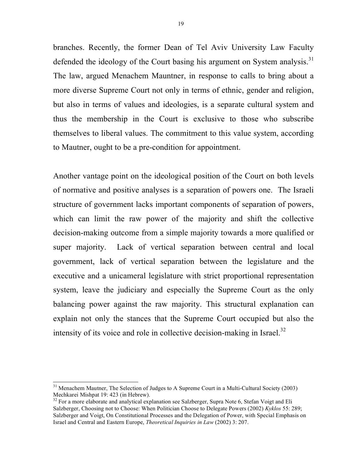branches. Recently, the former Dean of Tel Aviv University Law Faculty defended the ideology of the Court basing his argument on System analysis.<sup>31</sup> The law, argued Menachem Mauntner, in response to calls to bring about a more diverse Supreme Court not only in terms of ethnic, gender and religion, but also in terms of values and ideologies, is a separate cultural system and thus the membership in the Court is exclusive to those who subscribe themselves to liberal values. The commitment to this value system, according to Mautner, ought to be a pre-condition for appointment.

Another vantage point on the ideological position of the Court on both levels of normative and positive analyses is a separation of powers one. The Israeli structure of government lacks important components of separation of powers, which can limit the raw power of the majority and shift the collective decision-making outcome from a simple majority towards a more qualified or super majority. Lack of vertical separation between central and local government, lack of vertical separation between the legislature and the executive and a unicameral legislature with strict proportional representation system, leave the judiciary and especially the Supreme Court as the only balancing power against the raw majority. This structural explanation can explain not only the stances that the Supreme Court occupied but also the intensity of its voice and role in collective decision-making in Israel. $^{32}$ 

<sup>&</sup>lt;sup>31</sup> Menachem Mautner, The Selection of Judges to A Supreme Court in a Multi-Cultural Society (2003) Mechkarei Mishpat 19: 423 (in Hebrew).

 $32$  For a more elaborate and analytical explanation see Salzberger, Supra Note 6, Stefan Voigt and Eli Salzberger, Choosing not to Choose: When Politician Choose to Delegate Powers (2002) *Kyklos* 55: 289; Salzberger and Voigt, On Constitutional Processes and the Delegation of Power, with Special Emphasis on Israel and Central and Eastern Europe, *Theoretical Inquiries in Law* (2002) 3: 207.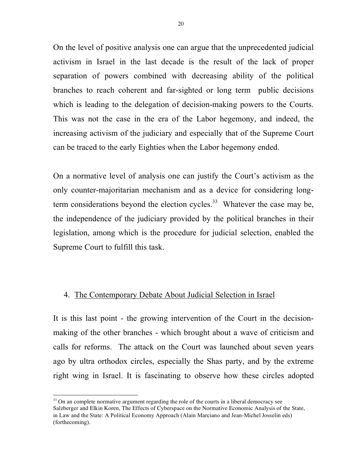On the level of positive analysis one can argue that the unprecedented judicial activism in Israel in the last decade is the result of the lack of proper separation of powers combined with decreasing ability of the political branches to reach coherent and far-sighted or long term public decisions which is leading to the delegation of decision-making powers to the Courts. This was not the case in the era of the Labor hegemony, and indeed, the increasing activism of the judiciary and especially that of the Supreme Court can be traced to the early Eighties when the Labor hegemony ended.

On a normative level of analysis one can justify the Court's activism as the only counter-majoritarian mechanism and as a device for considering longterm considerations beyond the election cycles.<sup>33</sup> Whatever the case may be, the independence of the judiciary provided by the political branches in their legislation, among which is the procedure for judicial selection, enabled the Supreme Court to fulfill this task.

#### 4. The Contemporary Debate About Judicial Selection in Israel

It is this last point - the growing intervention of the Court in the decisionmaking of the other branches - which brought about a wave of criticism and calls for reforms. The attack on the Court was launched about seven years ago by ultra orthodox circles, especially the Shas party, and by the extreme right wing in Israel. It is fascinating to observe how these circles adopted

<sup>&</sup>lt;sup>33</sup> On an complete normative argument regarding the role of the courts in a liberal democracy see Salzberger and Elkin Koren, The Effects of Cyberspace on the Normative Economic Analysis of the State, in Law and the State: A Political Economy Approach (Alain Marciano and Jean-Michel Josselin eds) (forthecoming).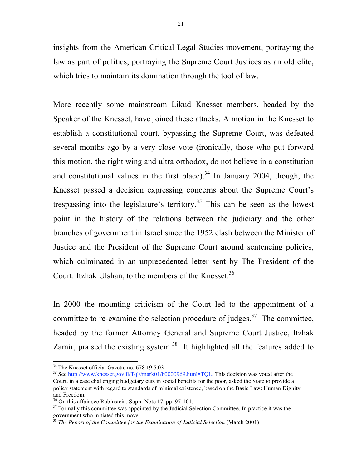insights from the American Critical Legal Studies movement, portraying the law as part of politics, portraying the Supreme Court Justices as an old elite, which tries to maintain its domination through the tool of law.

More recently some mainstream Likud Knesset members, headed by the Speaker of the Knesset, have joined these attacks. A motion in the Knesset to establish a constitutional court, bypassing the Supreme Court, was defeated several months ago by a very close vote (ironically, those who put forward this motion, the right wing and ultra orthodox, do not believe in a constitution and constitutional values in the first place).<sup>34</sup> In January 2004, though, the Knesset passed a decision expressing concerns about the Supreme Court's trespassing into the legislature's territory. <sup>35</sup> This can be seen as the lowest point in the history of the relations between the judiciary and the other branches of government in Israel since the 1952 clash between the Minister of Justice and the President of the Supreme Court around sentencing policies, which culminated in an unprecedented letter sent by The President of the Court. Itzhak Ulshan, to the members of the Knesset.<sup>36</sup>

In 2000 the mounting criticism of the Court led to the appointment of a committee to re-examine the selection procedure of judges.<sup>37</sup> The committee, headed by the former Attorney General and Supreme Court Justice, Itzhak Zamir, praised the existing system.<sup>38</sup> It highlighted all the features added to

<sup>&</sup>lt;sup>34</sup> The Knesset official Gazette no. 678 19.5.03

<sup>&</sup>lt;sup>35</sup> See http://www.knesset.gov.il/Tql//mark01/h0000969.html#TQL. This decision was voted after the Court, in a case challenging budgetary cuts in social benefits for the poor, asked the State to provide a policy statement with regard to standards of minimal existence, based on the Basic Law: Human Dignity

 $36$  On this affair see Rubinstein, Supra Note 17, pp. 97-101.

 $37$  Formally this committee was appointed by the Judicial Selection Committee. In practice it was the government who initiated this move.

<sup>38</sup> *The Report of the Committee for the Examination of Judicial Selection* (March 2001)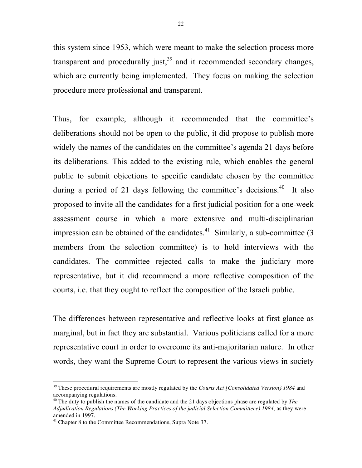this system since 1953, which were meant to make the selection process more transparent and procedurally just, $39$  and it recommended secondary changes, which are currently being implemented. They focus on making the selection procedure more professional and transparent.

Thus, for example, although it recommended that the committee's deliberations should not be open to the public, it did propose to publish more widely the names of the candidates on the committee's agenda 21 days before its deliberations. This added to the existing rule, which enables the general public to submit objections to specific candidate chosen by the committee during a period of 21 days following the committee's decisions.<sup>40</sup> It also proposed to invite all the candidates for a first judicial position for a one-week assessment course in which a more extensive and multi-disciplinarian impression can be obtained of the candidates.<sup>41</sup> Similarly, a sub-committee  $(3)$ members from the selection committee) is to hold interviews with the candidates. The committee rejected calls to make the judiciary more representative, but it did recommend a more reflective composition of the courts, i.e. that they ought to reflect the composition of the Israeli public.

The differences between representative and reflective looks at first glance as marginal, but in fact they are substantial. Various politicians called for a more representative court in order to overcome its anti-majoritarian nature. In other words, they want the Supreme Court to represent the various views in society

 <sup>39</sup> These procedural requirements are mostly regulated by the *Courts Act [Consolidated Version} <sup>1984</sup>* and accompanying regulations.

<sup>40</sup> The duty to publish the names of the candidate and the 21 days objections phase are regulated by *The Adjudication Regulations (The Working Practices of the judicial Selection Committeee) 1984*, as they were amended in 1997.

<sup>&</sup>lt;sup>41</sup> Chapter 8 to the Committee Recommendations, Supra Note 37.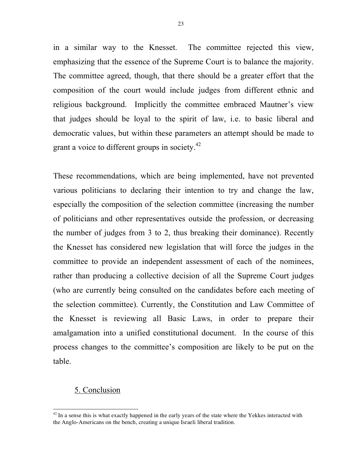in a similar way to the Knesset. The committee rejected this view, emphasizing that the essence of the Supreme Court is to balance the majority. The committee agreed, though, that there should be a greater effort that the composition of the court would include judges from different ethnic and religious background. Implicitly the committee embraced Mautner's view that judges should be loyal to the spirit of law, i.e. to basic liberal and democratic values, but within these parameters an attempt should be made to grant a voice to different groups in society.<sup>42</sup>

These recommendations, which are being implemented, have not prevented various politicians to declaring their intention to try and change the law, especially the composition of the selection committee (increasing the number of politicians and other representatives outside the profession, or decreasing the number of judges from 3 to 2, thus breaking their dominance). Recently the Knesset has considered new legislation that will force the judges in the committee to provide an independent assessment of each of the nominees, rather than producing a collective decision of all the Supreme Court judges (who are currently being consulted on the candidates before each meeting of the selection committee). Currently, the Constitution and Law Committee of the Knesset is reviewing all Basic Laws, in order to prepare their amalgamation into a unified constitutional document. In the course of this process changes to the committee's composition are likely to be put on the table.

#### 5. Conclusion

 $42$  In a sense this is what exactly happened in the early years of the state where the Yekkes interacted with the Anglo-Americans on the bench, creating a unique Israeli liberal tradition.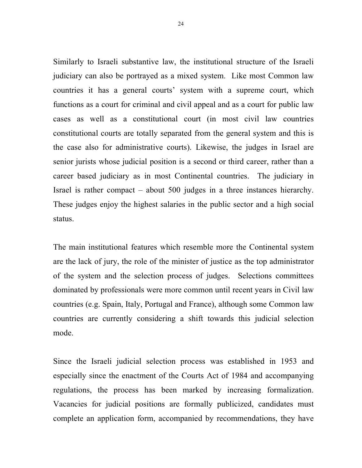Similarly to Israeli substantive law, the institutional structure of the Israeli judiciary can also be portrayed as a mixed system. Like most Common law countries it has a general courts' system with a supreme court, which functions as a court for criminal and civil appeal and as a court for public law cases as well as a constitutional court (in most civil law countries constitutional courts are totally separated from the general system and this is the case also for administrative courts). Likewise, the judges in Israel are senior jurists whose judicial position is a second or third career, rather than a career based judiciary as in most Continental countries. The judiciary in Israel is rather compact – about 500 judges in a three instances hierarchy. These judges enjoy the highest salaries in the public sector and a high social status.

The main institutional features which resemble more the Continental system are the lack of jury, the role of the minister of justice as the top administrator of the system and the selection process of judges. Selections committees dominated by professionals were more common until recent years in Civil law countries (e.g. Spain, Italy, Portugal and France), although some Common law countries are currently considering a shift towards this judicial selection mode.

Since the Israeli judicial selection process was established in 1953 and especially since the enactment of the Courts Act of 1984 and accompanying regulations, the process has been marked by increasing formalization. Vacancies for judicial positions are formally publicized, candidates must complete an application form, accompanied by recommendations, they have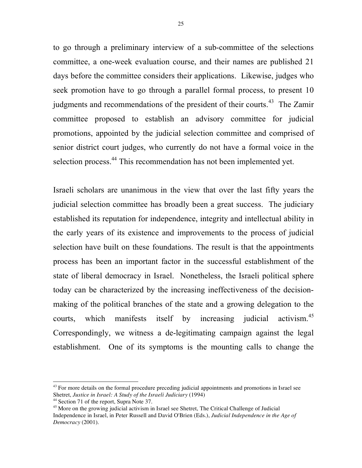to go through a preliminary interview of a sub-committee of the selections committee, a one-week evaluation course, and their names are published 21 days before the committee considers their applications. Likewise, judges who seek promotion have to go through a parallel formal process, to present 10 judgments and recommendations of the president of their courts.<sup>43</sup> The Zamir committee proposed to establish an advisory committee for judicial promotions, appointed by the judicial selection committee and comprised of senior district court judges, who currently do not have a formal voice in the selection process.<sup>44</sup> This recommendation has not been implemented yet.

Israeli scholars are unanimous in the view that over the last fifty years the judicial selection committee has broadly been a great success. The judiciary established its reputation for independence, integrity and intellectual ability in the early years of its existence and improvements to the process of judicial selection have built on these foundations. The result is that the appointments process has been an important factor in the successful establishment of the state of liberal democracy in Israel. Nonetheless, the Israeli political sphere today can be characterized by the increasing ineffectiveness of the decisionmaking of the political branches of the state and a growing delegation to the courts, which manifests itself by increasing judicial  $\arctiv\ism.<sup>45</sup>$ Correspondingly, we witness a de-legitimating campaign against the legal establishment. One of its symptoms is the mounting calls to change the

 $43$  For more details on the formal procedure preceding judicial appointments and promotions in Israel see Shetret, *Justice in Israel: A Study of the Israeli Judiciary* (1994)

<sup>44</sup> Section 71 of the report, Supra Note 37.

<sup>&</sup>lt;sup>45</sup> More on the growing judicial activism in Israel see Shetret, The Critical Challenge of Judicial Independence in Israel, in Peter Russell and David O'Brien (Eds.), *Judicial Independence in the Age of Democracy* (2001).